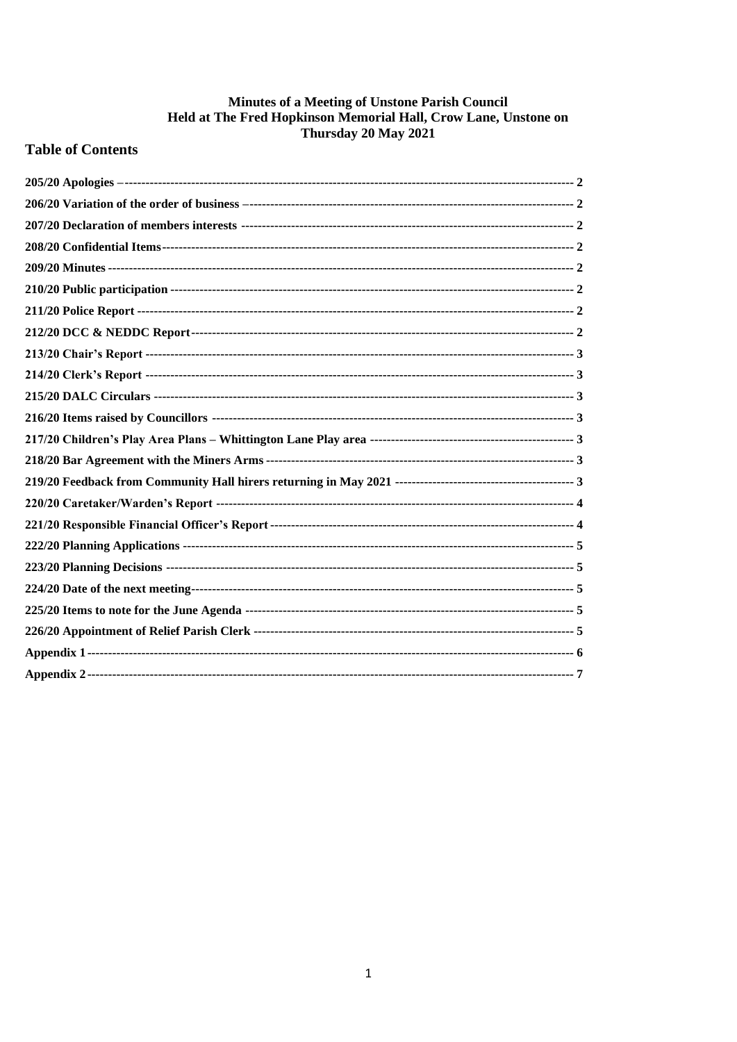# **Minutes of a Meeting of Unstone Parish Council<br>Held at The Fred Hopkinson Memorial Hall, Crow Lane, Unstone on<br>Thursday 20 May 2021**

# **Table of Contents**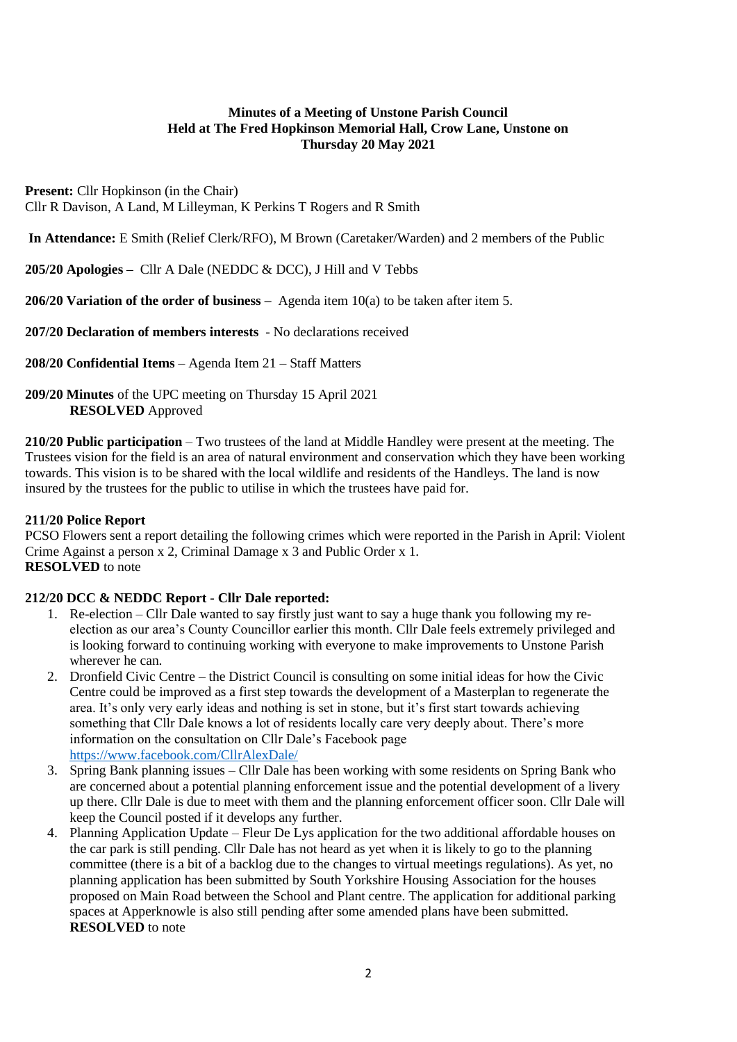# **Minutes of a Meeting of Unstone Parish Council Held at The Fred Hopkinson Memorial Hall, Crow Lane, Unstone on Thursday 20 May 2021**

**Present:** Cllr Hopkinson (in the Chair) Cllr R Davison, A Land, M Lilleyman, K Perkins T Rogers and R Smith

**In Attendance:** E Smith (Relief Clerk/RFO), M Brown (Caretaker/Warden) and 2 members of the Public

<span id="page-1-0"></span>**205/20 Apologies –** Cllr A Dale (NEDDC & DCC), J Hill and V Tebbs

<span id="page-1-1"></span>**206/20 Variation of the order of business –** Agenda item 10(a) to be taken after item 5.

<span id="page-1-2"></span>**207/20 Declaration of members interests** - No declarations received

<span id="page-1-3"></span>**208/20 Confidential Items** – Agenda Item 21 – Staff Matters

<span id="page-1-4"></span>**209/20 Minutes** of the UPC meeting on Thursday 15 April 2021 **RESOLVED** Approved

<span id="page-1-5"></span>**210/20 Public participation** – Two trustees of the land at Middle Handley were present at the meeting. The Trustees vision for the field is an area of natural environment and conservation which they have been working towards. This vision is to be shared with the local wildlife and residents of the Handleys. The land is now insured by the trustees for the public to utilise in which the trustees have paid for.

# <span id="page-1-6"></span>**211/20 Police Report**

PCSO Flowers sent a report detailing the following crimes which were reported in the Parish in April: Violent Crime Against a person x 2, Criminal Damage x 3 and Public Order x 1. **RESOLVED** to note

# <span id="page-1-7"></span>**212/20 DCC & NEDDC Report - Cllr Dale reported:**

- 1. Re-election Cllr Dale wanted to say firstly just want to say a huge thank you following my reelection as our area's County Councillor earlier this month. Cllr Dale feels extremely privileged and is looking forward to continuing working with everyone to make improvements to Unstone Parish wherever he can.
- 2. Dronfield Civic Centre the District Council is consulting on some initial ideas for how the Civic Centre could be improved as a first step towards the development of a Masterplan to regenerate the area. It's only very early ideas and nothing is set in stone, but it's first start towards achieving something that Cllr Dale knows a lot of residents locally care very deeply about. There's more information on the consultation on Cllr Dale's Facebook page <https://www.facebook.com/CllrAlexDale/>
- 3. Spring Bank planning issues Cllr Dale has been working with some residents on Spring Bank who are concerned about a potential planning enforcement issue and the potential development of a livery up there. Cllr Dale is due to meet with them and the planning enforcement officer soon. Cllr Dale will keep the Council posted if it develops any further.
- 4. Planning Application Update Fleur De Lys application for the two additional affordable houses on the car park is still pending. Cllr Dale has not heard as yet when it is likely to go to the planning committee (there is a bit of a backlog due to the changes to virtual meetings regulations). As yet, no planning application has been submitted by South Yorkshire Housing Association for the houses proposed on Main Road between the School and Plant centre. The application for additional parking spaces at Apperknowle is also still pending after some amended plans have been submitted. **RESOLVED** to note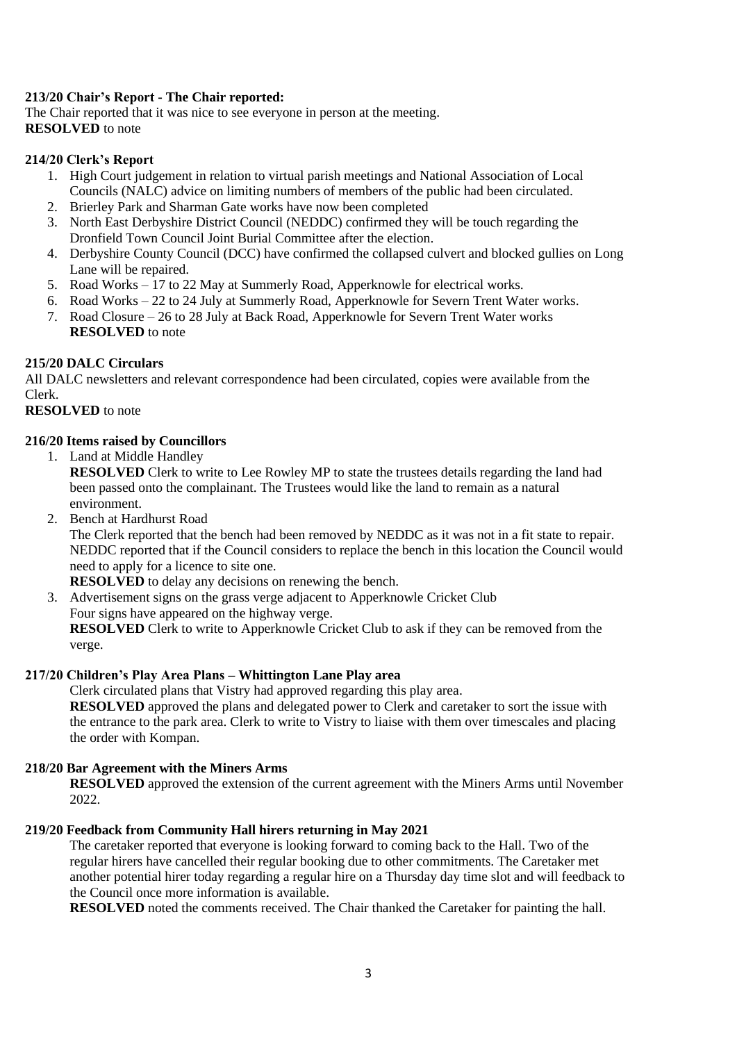# <span id="page-2-0"></span>**213/20 Chair's Report - The Chair reported:**

The Chair reported that it was nice to see everyone in person at the meeting. **RESOLVED** to note

#### <span id="page-2-1"></span>**214/20 Clerk's Report**

- 1. High Court judgement in relation to virtual parish meetings and National Association of Local Councils (NALC) advice on limiting numbers of members of the public had been circulated.
- 2. Brierley Park and Sharman Gate works have now been completed
- 3. North East Derbyshire District Council (NEDDC) confirmed they will be touch regarding the Dronfield Town Council Joint Burial Committee after the election.
- 4. Derbyshire County Council (DCC) have confirmed the collapsed culvert and blocked gullies on Long Lane will be repaired.
- 5. Road Works 17 to 22 May at Summerly Road, Apperknowle for electrical works.
- 6. Road Works 22 to 24 July at Summerly Road, Apperknowle for Severn Trent Water works.
- 7. Road Closure 26 to 28 July at Back Road, Apperknowle for Severn Trent Water works **RESOLVED** to note

# <span id="page-2-2"></span>**215/20 DALC Circulars**

All DALC newsletters and relevant correspondence had been circulated, copies were available from the Clerk.

#### <span id="page-2-3"></span>**RESOLVED** to note

# **216/20 Items raised by Councillors**

1. Land at Middle Handley

**RESOLVED** Clerk to write to Lee Rowley MP to state the trustees details regarding the land had been passed onto the complainant. The Trustees would like the land to remain as a natural environment.

2. Bench at Hardhurst Road

The Clerk reported that the bench had been removed by NEDDC as it was not in a fit state to repair. NEDDC reported that if the Council considers to replace the bench in this location the Council would need to apply for a licence to site one.

**RESOLVED** to delay any decisions on renewing the bench.

3. Advertisement signs on the grass verge adjacent to Apperknowle Cricket Club Four signs have appeared on the highway verge. **RESOLVED** Clerk to write to Apperknowle Cricket Club to ask if they can be removed from the verge.

#### <span id="page-2-4"></span>**217/20 Children's Play Area Plans – Whittington Lane Play area**

Clerk circulated plans that Vistry had approved regarding this play area.

**RESOLVED** approved the plans and delegated power to Clerk and caretaker to sort the issue with the entrance to the park area. Clerk to write to Vistry to liaise with them over timescales and placing the order with Kompan.

# <span id="page-2-5"></span>**218/20 Bar Agreement with the Miners Arms**

**RESOLVED** approved the extension of the current agreement with the Miners Arms until November 2022.

#### <span id="page-2-6"></span>**219/20 Feedback from Community Hall hirers returning in May 2021**

The caretaker reported that everyone is looking forward to coming back to the Hall. Two of the regular hirers have cancelled their regular booking due to other commitments. The Caretaker met another potential hirer today regarding a regular hire on a Thursday day time slot and will feedback to the Council once more information is available.

**RESOLVED** noted the comments received. The Chair thanked the Caretaker for painting the hall.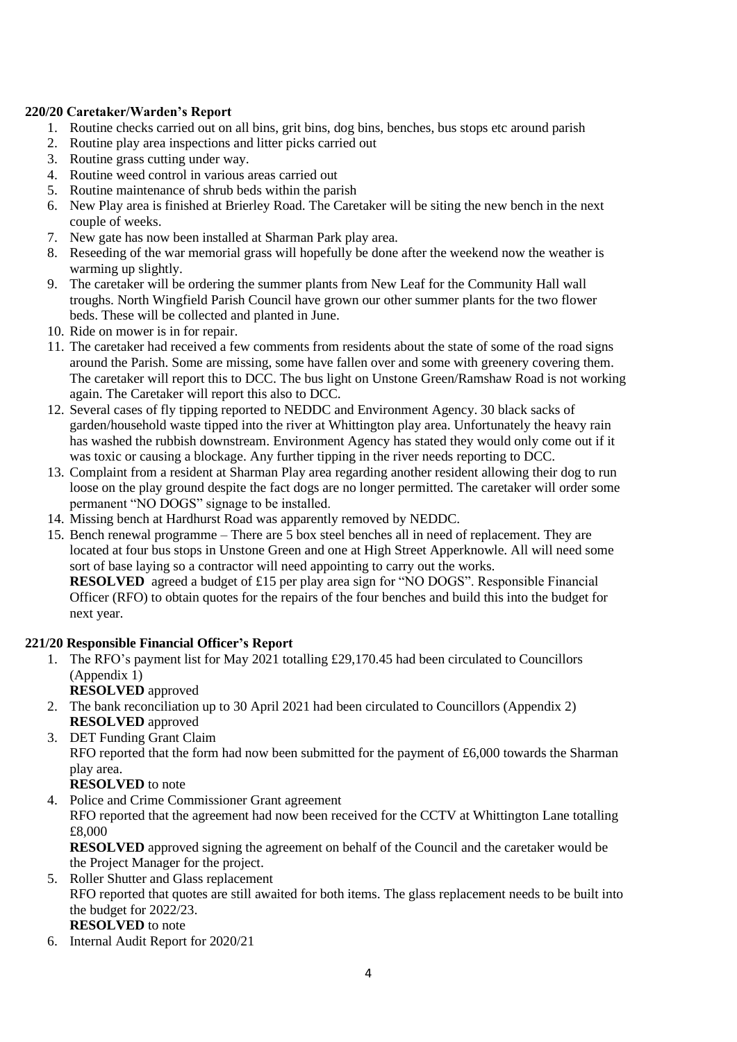# <span id="page-3-0"></span>**220/20 Caretaker/Warden's Report**

- 1. Routine checks carried out on all bins, grit bins, dog bins, benches, bus stops etc around parish
- 2. Routine play area inspections and litter picks carried out
- 3. Routine grass cutting under way.
- 4. Routine weed control in various areas carried out
- 5. Routine maintenance of shrub beds within the parish
- 6. New Play area is finished at Brierley Road. The Caretaker will be siting the new bench in the next couple of weeks.
- 7. New gate has now been installed at Sharman Park play area.
- 8. Reseeding of the war memorial grass will hopefully be done after the weekend now the weather is warming up slightly.
- 9. The caretaker will be ordering the summer plants from New Leaf for the Community Hall wall troughs. North Wingfield Parish Council have grown our other summer plants for the two flower beds. These will be collected and planted in June.
- 10. Ride on mower is in for repair.
- 11. The caretaker had received a few comments from residents about the state of some of the road signs around the Parish. Some are missing, some have fallen over and some with greenery covering them. The caretaker will report this to DCC. The bus light on Unstone Green/Ramshaw Road is not working again. The Caretaker will report this also to DCC.
- 12. Several cases of fly tipping reported to NEDDC and Environment Agency. 30 black sacks of garden/household waste tipped into the river at Whittington play area. Unfortunately the heavy rain has washed the rubbish downstream. Environment Agency has stated they would only come out if it was toxic or causing a blockage. Any further tipping in the river needs reporting to DCC.
- 13. Complaint from a resident at Sharman Play area regarding another resident allowing their dog to run loose on the play ground despite the fact dogs are no longer permitted. The caretaker will order some permanent "NO DOGS" signage to be installed.
- 14. Missing bench at Hardhurst Road was apparently removed by NEDDC.
- 15. Bench renewal programme There are 5 box steel benches all in need of replacement. They are located at four bus stops in Unstone Green and one at High Street Apperknowle. All will need some sort of base laying so a contractor will need appointing to carry out the works. **RESOLVED** agreed a budget of £15 per play area sign for "NO DOGS". Responsible Financial Officer (RFO) to obtain quotes for the repairs of the four benches and build this into the budget for next year.

# <span id="page-3-1"></span>**221/20 Responsible Financial Officer's Report**

1. The RFO's payment list for May 2021 totalling £29,170.45 had been circulated to Councillors (Appendix 1)

**RESOLVED** approved

- 2. The bank reconciliation up to 30 April 2021 had been circulated to Councillors (Appendix 2) **RESOLVED** approved
- 3. DET Funding Grant Claim RFO reported that the form had now been submitted for the payment of £6,000 towards the Sharman play area.

**RESOLVED** to note

4. Police and Crime Commissioner Grant agreement

RFO reported that the agreement had now been received for the CCTV at Whittington Lane totalling £8,000

**RESOLVED** approved signing the agreement on behalf of the Council and the caretaker would be the Project Manager for the project.

- 5. Roller Shutter and Glass replacement RFO reported that quotes are still awaited for both items. The glass replacement needs to be built into the budget for 2022/23. **RESOLVED** to note
- 6. Internal Audit Report for 2020/21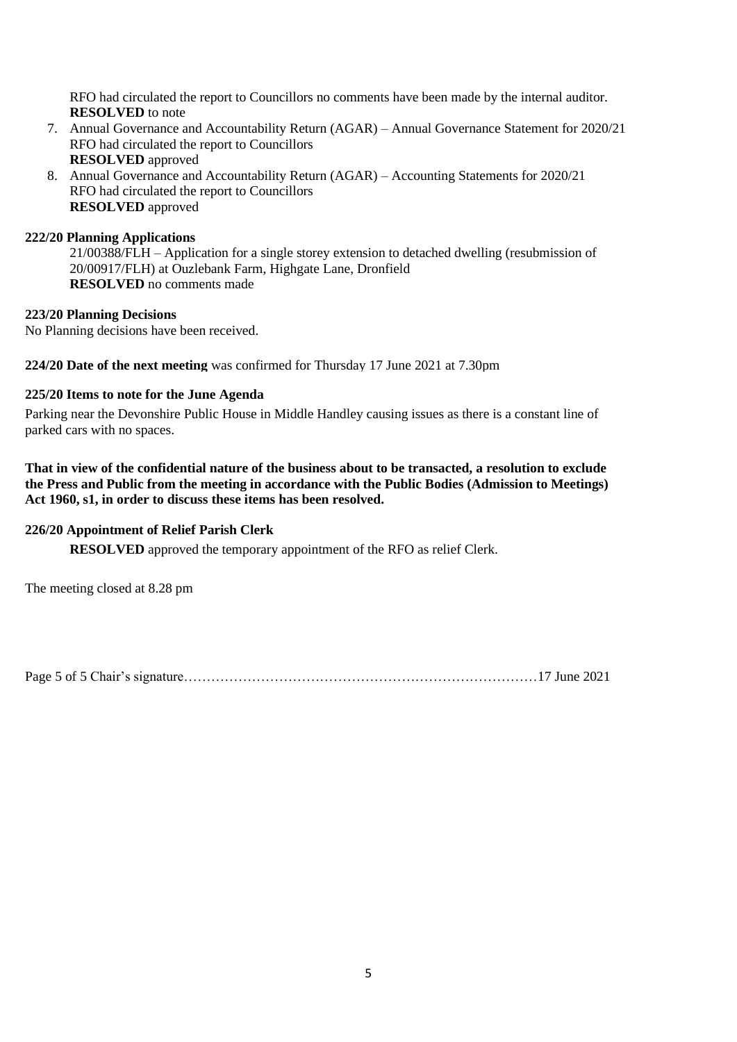RFO had circulated the report to Councillors no comments have been made by the internal auditor. **RESOLVED** to note

- 7. Annual Governance and Accountability Return (AGAR) Annual Governance Statement for 2020/21 RFO had circulated the report to Councillors **RESOLVED** approved
- 8. Annual Governance and Accountability Return (AGAR) Accounting Statements for 2020/21 RFO had circulated the report to Councillors **RESOLVED** approved

# <span id="page-4-0"></span>**222/20 Planning Applications**

21/00388/FLH – Application for a single storey extension to detached dwelling (resubmission of 20/00917/FLH) at Ouzlebank Farm, Highgate Lane, Dronfield **RESOLVED** no comments made

#### <span id="page-4-1"></span>**223/20 Planning Decisions**

No Planning decisions have been received.

<span id="page-4-3"></span><span id="page-4-2"></span>**224/20 Date of the next meeting** was confirmed for Thursday 17 June 2021 at 7.30pm

# **225/20 Items to note for the June Agenda**

Parking near the Devonshire Public House in Middle Handley causing issues as there is a constant line of parked cars with no spaces.

**That in view of the confidential nature of the business about to be transacted, a resolution to exclude the Press and Public from the meeting in accordance with the Public Bodies (Admission to Meetings) Act 1960, s1, in order to discuss these items has been resolved.** 

#### <span id="page-4-4"></span>. **226/20 Appointment of Relief Parish Clerk**

**RESOLVED** approved the temporary appointment of the RFO as relief Clerk.

The meeting closed at 8.28 pm

Page 5 of 5 Chair's signature……………………………………………………………………17 June 2021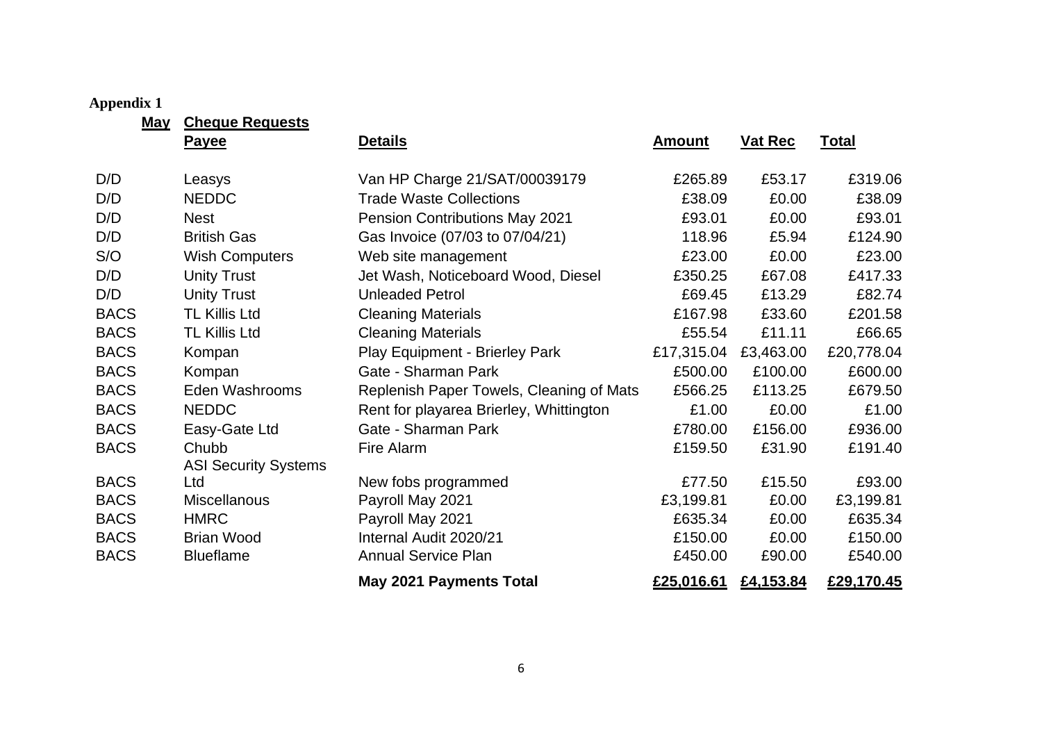# **Appendix 1**

**May Cheque Requests**

<span id="page-5-0"></span>

|             | <u>shoquo noquouo</u><br><b>Payee</b> | <b>Details</b>                           | <b>Amount</b> | <b>Vat Rec</b> | <b>Total</b> |
|-------------|---------------------------------------|------------------------------------------|---------------|----------------|--------------|
| D/D         | Leasys                                | Van HP Charge 21/SAT/00039179            | £265.89       | £53.17         | £319.06      |
| D/D         | <b>NEDDC</b>                          | <b>Trade Waste Collections</b>           | £38.09        | £0.00          | £38.09       |
| D/D         | <b>Nest</b>                           | <b>Pension Contributions May 2021</b>    | £93.01        | £0.00          | £93.01       |
| D/D         | <b>British Gas</b>                    | Gas Invoice (07/03 to 07/04/21)          | 118.96        | £5.94          | £124.90      |
| S/O         | <b>Wish Computers</b>                 | Web site management                      | £23.00        | £0.00          | £23.00       |
| D/D         | <b>Unity Trust</b>                    | Jet Wash, Noticeboard Wood, Diesel       | £350.25       | £67.08         | £417.33      |
| D/D         | <b>Unity Trust</b>                    | <b>Unleaded Petrol</b>                   | £69.45        | £13.29         | £82.74       |
| <b>BACS</b> | <b>TL Killis Ltd</b>                  | <b>Cleaning Materials</b>                | £167.98       | £33.60         | £201.58      |
| <b>BACS</b> | <b>TL Killis Ltd</b>                  | <b>Cleaning Materials</b>                | £55.54        | £11.11         | £66.65       |
| <b>BACS</b> | Kompan                                | Play Equipment - Brierley Park           | £17,315.04    | £3,463.00      | £20,778.04   |
| <b>BACS</b> | Kompan                                | Gate - Sharman Park                      | £500.00       | £100.00        | £600.00      |
| <b>BACS</b> | Eden Washrooms                        | Replenish Paper Towels, Cleaning of Mats | £566.25       | £113.25        | £679.50      |
| <b>BACS</b> | <b>NEDDC</b>                          | Rent for playarea Brierley, Whittington  | £1.00         | £0.00          | £1.00        |
| <b>BACS</b> | Easy-Gate Ltd                         | Gate - Sharman Park                      | £780.00       | £156.00        | £936.00      |
| <b>BACS</b> | Chubb                                 | Fire Alarm                               | £159.50       | £31.90         | £191.40      |
|             | <b>ASI Security Systems</b>           |                                          |               |                |              |
| <b>BACS</b> | Ltd                                   | New fobs programmed                      | £77.50        | £15.50         | £93.00       |
| <b>BACS</b> | <b>Miscellanous</b>                   | Payroll May 2021                         | £3,199.81     | £0.00          | £3,199.81    |
| <b>BACS</b> | <b>HMRC</b>                           | Payroll May 2021                         | £635.34       | £0.00          | £635.34      |
| <b>BACS</b> | <b>Brian Wood</b>                     | Internal Audit 2020/21                   | £150.00       | £0.00          | £150.00      |
| <b>BACS</b> | <b>Blueflame</b>                      | <b>Annual Service Plan</b>               | £450.00       | £90.00         | £540.00      |
|             |                                       | May 2021 Payments Total                  | £25,016.61    | £4,153.84      | £29,170.45   |